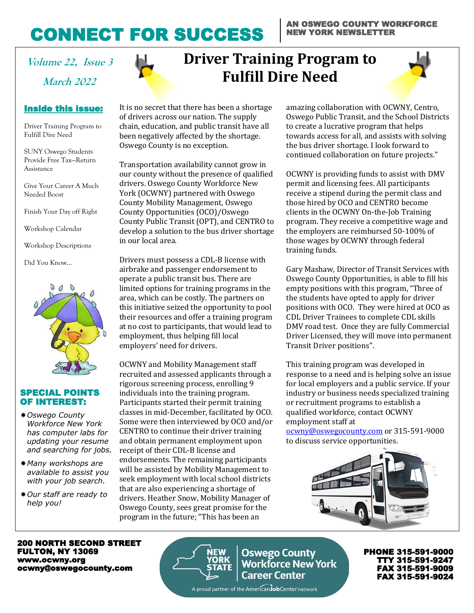# CONNECT FOR SUCCESS

#### AN OSWEGO COUNTY WORKFORCE NEW YORK NEWSLETTER

**March 2022**

### Inside this issue:

Driver Training Program to Fulfill Dire Need

SUNY Oswego Students Provide Free Tax—Return Assistance

Give Your Career A Much Needed Boost

Finish Your Day off Right

Workshop Calendar

Workshop Descriptions

Did You Know…



#### SPECIAL POINTS OF INTEREST:

- *Oswego County Workforce New York has computer labs for updating your resume and searching for jobs.*
- *Many workshops are available to assist you with your job search.*
- *Our staff are ready to help you!*

# **Volume 22, Issue 3 Driver Training Program to Fulfill Dire Need**



Transportation availability cannot grow in our county without the presence of qualified drivers. Oswego County Workforce New York (OCWNY) partnered with Oswego County Mobility Management, Oswego County Opportunities (OCO)/Oswego County Public Transit (OPT), and CENTRO to develop a solution to the bus driver shortage in our local area.

Drivers must possess a CDL-B license with airbrake and passenger endorsement to operate a public transit bus. There are limited options for training programs in the area, which can be costly. The partners on this initiative seized the opportunity to pool their resources and offer a training program at no cost to participants, that would lead to employment, thus helping fill local employers' need for drivers.

OCWNY and Mobility Management staff recruited and assessed applicants through a rigorous screening process, enrolling 9 individuals into the training program. Participants started their permit training classes in mid-December, facilitated by OCO. Some were then interviewed by OCO and/or CENTRO to continue their driver training and obtain permanent employment upon receipt of their CDL-B license and endorsements. The remaining participants will be assisted by Mobility Management to seek employment with local school districts that are also experiencing a shortage of drivers. Heather Snow, Mobility Manager of Oswego County, sees great promise for the program in the future; "This has been an

amazing collaboration with OCWNY, Centro, Oswego Public Transit, and the School Districts to create a lucrative program that helps towards access for all, and assists with solving the bus driver shortage. I look forward to continued collaboration on future projects."

OCWNY is providing funds to assist with DMV permit and licensing fees. All participants receive a stipend during the permit class and those hired by OCO and CENTRO become clients in the OCWNY On-the-Job Training program. They receive a competitive wage and the employers are reimbursed 50-100% of those wages by OCWNY through federal training funds.

Gary Mashaw, Director of Transit Services with Oswego County Opportunities, is able to fill his empty positions with this program, "Three of the students have opted to apply for driver positions with OCO. They were hired at OCO as CDL Driver Trainees to complete CDL skills DMV road test. Once they are fully Commercial Driver Licensed, they will move into permanent Transit Driver positions".

This training program was developed in response to a need and is helping solve an issue for local employers and a public service. If your industry or business needs specialized training or recruitment programs to establish a qualified workforce, contact OCWNY employment staff at

[ocwny@oswegocounty.com](mailto:ocwny@oswegocounty.com) or 315-591-9000 to discuss service opportunities.



200 NORTH SECOND STREET FULTON, NY 13069 www.ocwny.org ocwny@oswegocounty.com



**Oswego County<br>Workforce New York Career Center** 

A proud partner of the American**Job**Center network

PHONE 315-591-9000 TTY 315-591-9247 FAX 315-591-9009 FAX 315-591-9024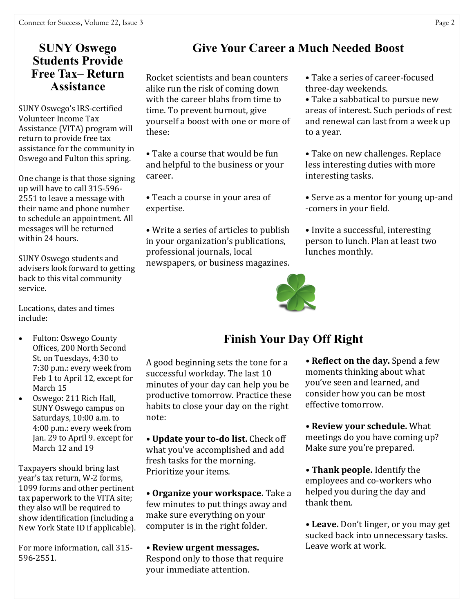## **SUNY Oswego Students Provide Free Tax– Return Assistance**

SUNY Oswego's IRS-certified Volunteer Income Tax Assistance (VITA) program will return to provide free tax assistance for the community in Oswego and Fulton this spring.

One change is that those signing up will have to call 315-596- 2551 to leave a message with their name and phone number to schedule an appointment. All messages will be returned within 24 hours.

SUNY Oswego students and advisers look forward to getting back to this vital community service.

Locations, dates and times include:

- Fulton: Oswego County Offices, 200 North Second St. on Tuesdays, 4:30 to 7:30 p.m.: every week from Feb 1 to April 12, except for March 15
- Oswego: 211 Rich Hall, SUNY Oswego campus on Saturdays, 10:00 a.m. to 4:00 p.m.: every week from Jan. 29 to April 9. except for March 12 and 19

Taxpayers should bring last year's tax return, W-2 forms, 1099 forms and other pertinent tax paperwork to the VITA site; they also will be required to show identification (including a New York State ID if applicable).

For more information, call 315- 596-2551.

## **Give Your Career a Much Needed Boost**

Rocket scientists and bean counters alike run the risk of coming down with the career blahs from time to time. To prevent burnout, give yourself a boost with one or more of these:

• Take a course that would be fun and helpful to the business or your career.

• Teach a course in your area of expertise.

• Write a series of articles to publish in your organization's publications, professional journals, local newspapers, or business magazines.

• Take a series of career-focused three-day weekends.

• Take a sabbatical to pursue new areas of interest. Such periods of rest and renewal can last from a week up to a year.

• Take on new challenges. Replace less interesting duties with more interesting tasks.

• Serve as a mentor for young up-and -comers in your field.

• Invite a successful, interesting person to lunch. Plan at least two lunches monthly.



# **Finish Your Day Off Right**

A good beginning sets the tone for a successful workday. The last 10 minutes of your day can help you be productive tomorrow. Practice these habits to close your day on the right note:

**• Update your to-do list.** Check off what you've accomplished and add fresh tasks for the morning. Prioritize your items.

**• Organize your workspace.** Take a few minutes to put things away and make sure everything on your computer is in the right folder.

**• Review urgent messages.** Respond only to those that require your immediate attention.

**• Reflect on the day.** Spend a few moments thinking about what you've seen and learned, and consider how you can be most effective tomorrow.

**• Review your schedule.** What meetings do you have coming up? Make sure you're prepared.

**• Thank people.** Identify the employees and co-workers who helped you during the day and thank them.

**• Leave.** Don't linger, or you may get sucked back into unnecessary tasks. Leave work at work.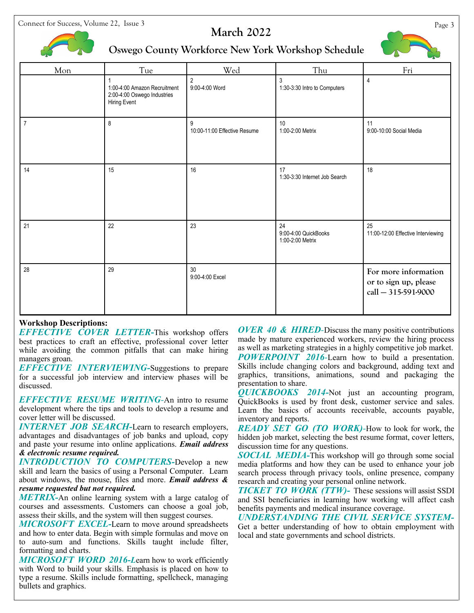Connect for Success, Volume 22, Issue 3 Page 3



### **March 2022**



### **Oswego County Workforce New York Workshop Schedule**

| Mon            | Tue                                                                         | Wed                               | Thu                                            | Fri                                                                  |
|----------------|-----------------------------------------------------------------------------|-----------------------------------|------------------------------------------------|----------------------------------------------------------------------|
|                | 1:00-4:00 Amazon Recruitment<br>2:00-4:00 Oswego Industries<br>Hiring Event | $\overline{2}$<br>9:00-4:00 Word  | 3<br>1:30-3:30 Intro to Computers              | $\pmb{4}$                                                            |
| $\overline{7}$ | $\,8\,$                                                                     | 9<br>10:00-11:00 Effective Resume | 10<br>1:00-2:00 Metrix                         | 11<br>9:00-10:00 Social Media                                        |
| 14             | 15                                                                          | 16                                | 17<br>1:30-3:30 Internet Job Search            | 18                                                                   |
| 21             | 22                                                                          | 23                                | 24<br>9:00-4:00 QuickBooks<br>1:00-2:00 Metrix | 25<br>11:00-12:00 Effective Interviewing                             |
| 28             | 29                                                                          | 30<br>9:00-4:00 Excel             |                                                | For more information<br>or to sign up, please<br>call - 315-591-9000 |

#### **Workshop Descriptions:**

*EFFECTIVE COVER LETTER***-**This workshop offers best practices to craft an effective, professional cover letter while avoiding the common pitfalls that can make hiring managers groan.

*EFFECTIVE INTERVIEWING-*Suggestions to prepare for a successful job interview and interview phases will be discussed.

*EFFECTIVE RESUME WRITING-*An intro to resume development where the tips and tools to develop a resume and cover letter will be discussed.

*INTERNET JOB SEARCH-*Learn to research employers, advantages and disadvantages of job banks and upload, copy and paste your resume into online applications. *Email address & electronic resume required.*

*INTRODUCTION TO COMPUTERS-*Develop a new skill and learn the basics of using a Personal Computer. Learn about windows, the mouse, files and more. *Email address & resume requested but not required.* 

*METRIX-*An online learning system with a large catalog of courses and assessments. Customers can choose a goal job, assess their skills, and the system will then suggest courses.

*MICROSOFT EXCEL-*Learn to move around spreadsheets and how to enter data. Begin with simple formulas and move on to auto-sum and functions. Skills taught include filter, formatting and charts.

*MICROSOFT WORD 2016-L*earn how to work efficiently with Word to build your skills. Emphasis is placed on how to type a resume. Skills include formatting, spellcheck, managing bullets and graphics.

*OVER 40 & HIRED-*Discuss the many positive contributions made by mature experienced workers, review the hiring process as well as marketing strategies in a highly competitive job market. *POWERPOINT 2016-*Learn how to build a presentation. Skills include changing colors and background, adding text and graphics, transitions, animations, sound and packaging the presentation to share.

*QUICKBOOKS 2014-*Not just an accounting program, QuickBooks is used by front desk, customer service and sales. Learn the basics of accounts receivable, accounts payable, inventory and reports.

*READY SET GO (TO WORK)-*How to look for work, the hidden job market, selecting the best resume format, cover letters, discussion time for any questions.

*SOCIAL MEDIA-*This workshop will go through some social media platforms and how they can be used to enhance your job search process through privacy tools, online presence, company research and creating your personal online network.

*TICKET TO WORK (TTW)-* These sessions will assist SSDI and SSI beneficiaries in learning how working will affect cash benefits payments and medical insurance coverage.

*UNDERSTANDING THE CIVIL SERVICE SYSTEM-*Get a better understanding of how to obtain employment with local and state governments and school districts.